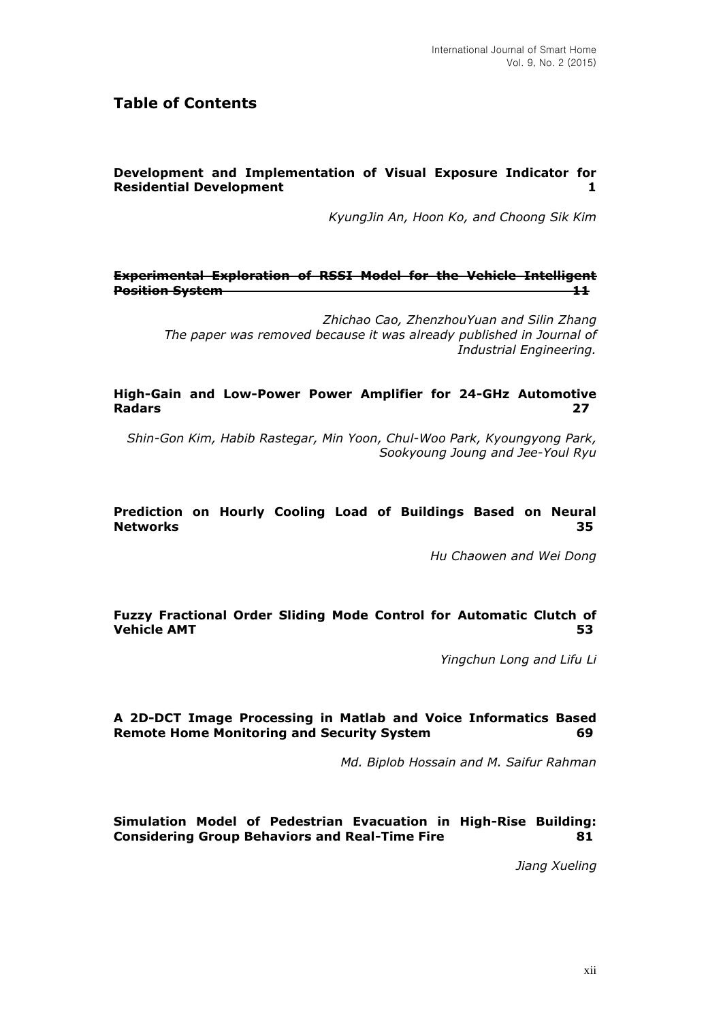# **Table of Contents**

## **Development and Implementation of Visual Exposure Indicator for Residential Development 1** and 1 and 1 and 1 and 1 and 1 and 1 and 1 and 1 and 1 and 1 and 1 and 1 and 1 and 1 and 1 and 1 and 1 and 1 and 1 and 1 and 1 and 1 and 1 and 1 and 1 and 1 and 1 and 1 and 1 and 1 and 1 and 1 an

*KyungJin An, Hoon Ko, and Choong Sik Kim*

#### **Experimental Exploration of RSSI Model for the Vehicle Intelligent Position System 11**

*Zhichao Cao, ZhenzhouYuan and Silin Zhang The paper was removed because it was already published in Journal of Industrial Engineering.*

#### **High-Gain and Low-Power Power Amplifier for 24-GHz Automotive Radars 27**

*Shin-Gon Kim, Habib Rastegar, Min Yoon, Chul-Woo Park, Kyoungyong Park, Sookyoung Joung and Jee-Youl Ryu*

#### **Prediction on Hourly Cooling Load of Buildings Based on Neural Networks 35**

*Hu Chaowen and Wei Dong*

## **Fuzzy Fractional Order Sliding Mode Control for Automatic Clutch of Vehicle AMT 53**

*Yingchun Long and Lifu Li*

## **A 2D-DCT Image Processing in Matlab and Voice Informatics Based Remote Home Monitoring and Security System 69**

*Md. Biplob Hossain and M. Saifur Rahman*

## **Simulation Model of Pedestrian Evacuation in High-Rise Building: Considering Group Behaviors and Real-Time Fire 81**

*Jiang Xueling*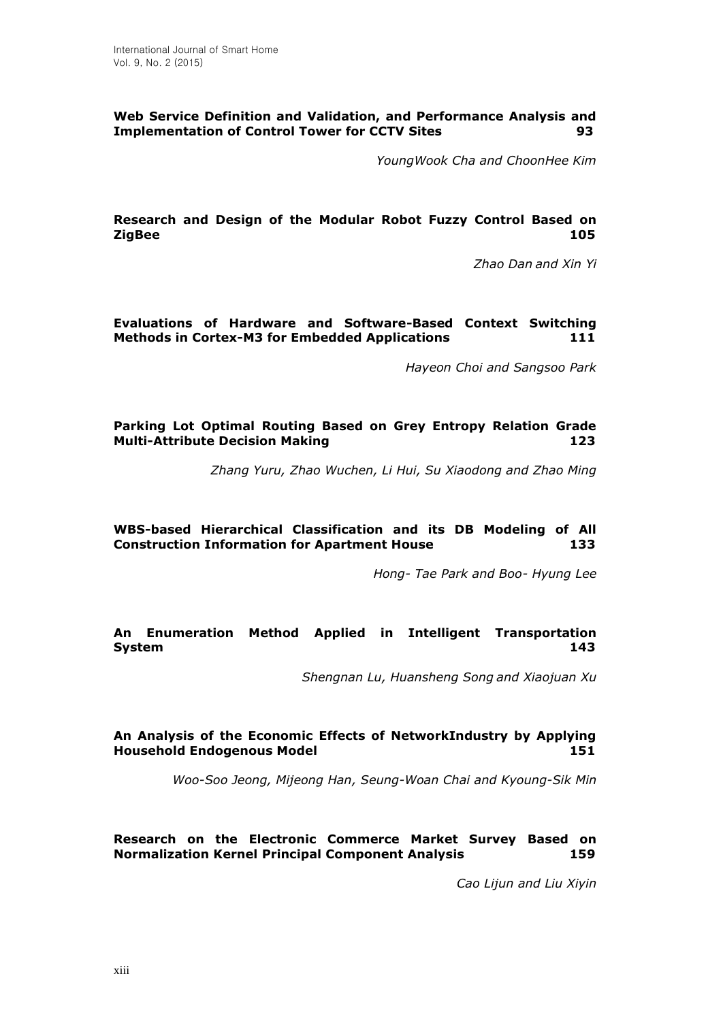## **Web Service Definition and Validation, and Performance Analysis and Implementation of Control Tower for CCTV Sites 93**

*YoungWook Cha and ChoonHee Kim*

#### **Research and Design of the Modular Robot Fuzzy Control Based on ZigBee 105**

*Zhao Dan and Xin Yi*

## **Evaluations of Hardware and Software-Based Context Switching Methods in Cortex-M3 for Embedded Applications 111**

*Hayeon Choi and Sangsoo Park*

#### **Parking Lot Optimal Routing Based on Grey Entropy Relation Grade Multi-Attribute Decision Making 123**

*Zhang Yuru, Zhao Wuchen, Li Hui, Su Xiaodong and Zhao Ming*

## **WBS-based Hierarchical Classification and its DB Modeling of All Construction Information for Apartment House 133**

*Hong- Tae Park and Boo- Hyung Lee*

## **An Enumeration Method Applied in Intelligent Transportation System 143**

*Shengnan Lu, Huansheng Song and Xiaojuan Xu*

## **An Analysis of the Economic Effects of NetworkIndustry by Applying Household Endogenous Model 151**

*Woo-Soo Jeong, Mijeong Han, Seung-Woan Chai and Kyoung-Sik Min*

## **Research on the Electronic Commerce Market Survey Based on Normalization Kernel Principal Component Analysis 159**

*Cao Lijun and Liu Xiyin*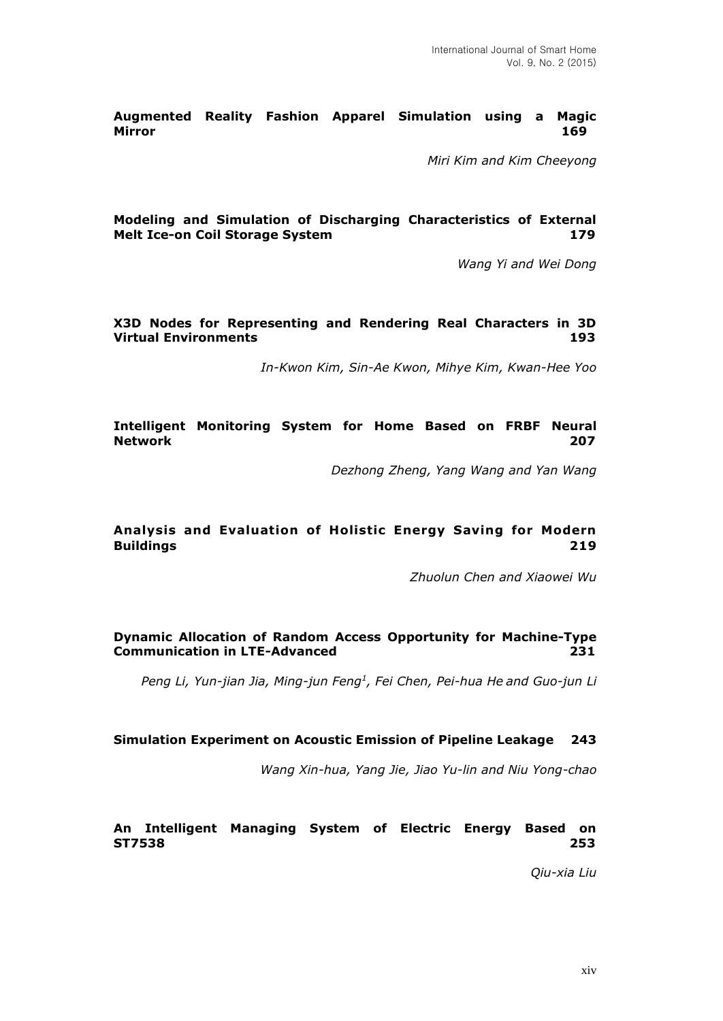**Augmented Reality Fashion Apparel Simulation using a Magic Mirror 169**

*Miri Kim and Kim Cheeyong*

#### **Modeling and Simulation of Discharging Characteristics of External Melt Ice-on Coil Storage System 179** 179

*Wang Yi and Wei Dong*

#### **X3D Nodes for Representing and Rendering Real Characters in 3D Virtual Environments 193**

*In-Kwon Kim, Sin-Ae Kwon, Mihye Kim, Kwan-Hee Yoo*

**Intelligent Monitoring System for Home Based on FRBF Neural Network 207**

*Dezhong Zheng, Yang Wang and Yan Wang*

## **Analysis and Evaluation of Holistic Energy Saving for Modern Buildings 219**

*Zhuolun Chen and Xiaowei Wu*

## **Dynamic Allocation of Random Access Opportunity for Machine-Type Communication in LTE-Advanced 231**

*Peng Li, Yun-jian Jia, Ming-jun Feng<sup>1</sup> , Fei Chen, Pei-hua He and Guo-jun Li*

#### **Simulation Experiment on Acoustic Emission of Pipeline Leakage 243**

*Wang Xin-hua, Yang Jie, Jiao Yu-lin and Niu Yong-chao*

#### **An Intelligent Managing System of Electric Energy Based on ST7538 253**

*Qiu-xia Liu*